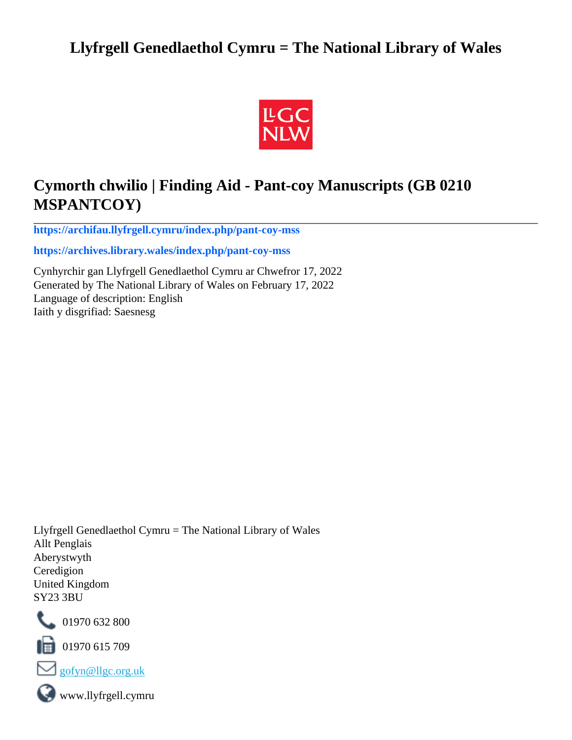## **Llyfrgell Genedlaethol Cymru = The National Library of Wales**



# **Cymorth chwilio | Finding Aid - Pant-coy Manuscripts (GB 0210 MSPANTCOY)**

**[https://archifau.llyfrgell.cymru/index.php/pant-coy-mss](https://archifau.llyfrgell.cymru/index.php/pant-coy-mss;isad?sf_culture=cy)**

**[https://archives.library.wales/index.php/pant-coy-mss](https://archives.library.wales/index.php/pant-coy-mss;isad?sf_culture=en)**

Cynhyrchir gan Llyfrgell Genedlaethol Cymru ar Chwefror 17, 2022 Generated by The National Library of Wales on February 17, 2022 Language of description: English Iaith y disgrifiad: Saesnesg

Llyfrgell Genedlaethol Cymru = The National Library of Wales Allt Penglais Aberystwyth Ceredigion United Kingdom SY23 3BU



101970 632 800

 $\blacksquare$  01970 615 709



www.llyfrgell.cymru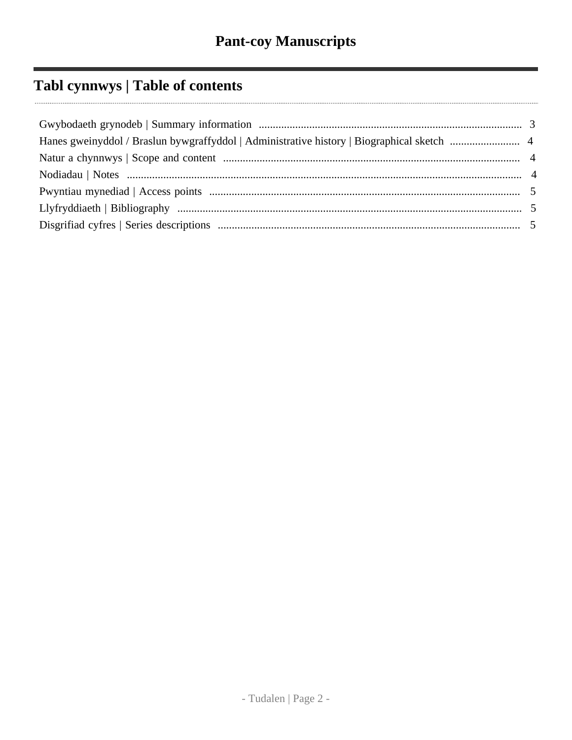# Tabl cynnwys | Table of contents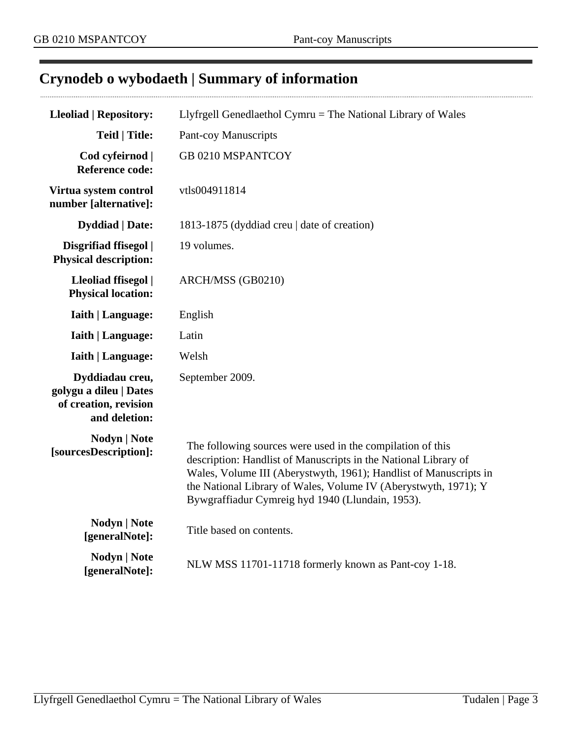# <span id="page-2-0"></span>**Crynodeb o wybodaeth | Summary of information**

| <b>Lleoliad   Repository:</b>                                                       | Llyfrgell Genedlaethol Cymru = The National Library of Wales                                                                                                                                                                                                                                                              |
|-------------------------------------------------------------------------------------|---------------------------------------------------------------------------------------------------------------------------------------------------------------------------------------------------------------------------------------------------------------------------------------------------------------------------|
| <b>Teitl   Title:</b>                                                               | <b>Pant-coy Manuscripts</b>                                                                                                                                                                                                                                                                                               |
| Cod cyfeirnod  <br><b>Reference code:</b>                                           | GB 0210 MSPANTCOY                                                                                                                                                                                                                                                                                                         |
| Virtua system control<br>number [alternative]:                                      | vtls004911814                                                                                                                                                                                                                                                                                                             |
| <b>Dyddiad</b>   Date:                                                              | 1813-1875 (dyddiad creu   date of creation)                                                                                                                                                                                                                                                                               |
| Disgrifiad ffisegol  <br><b>Physical description:</b>                               | 19 volumes.                                                                                                                                                                                                                                                                                                               |
| Lleoliad ffisegol  <br><b>Physical location:</b>                                    | ARCH/MSS (GB0210)                                                                                                                                                                                                                                                                                                         |
| <b>Iaith   Language:</b>                                                            | English                                                                                                                                                                                                                                                                                                                   |
| <b>Iaith   Language:</b>                                                            | Latin                                                                                                                                                                                                                                                                                                                     |
| <b>Iaith   Language:</b>                                                            | Welsh                                                                                                                                                                                                                                                                                                                     |
| Dyddiadau creu,<br>golygu a dileu   Dates<br>of creation, revision<br>and deletion: | September 2009.                                                                                                                                                                                                                                                                                                           |
| <b>Nodyn</b>   <b>Note</b><br>[sourcesDescription]:                                 | The following sources were used in the compilation of this<br>description: Handlist of Manuscripts in the National Library of<br>Wales, Volume III (Aberystwyth, 1961); Handlist of Manuscripts in<br>the National Library of Wales, Volume IV (Aberystwyth, 1971); Y<br>Bywgraffiadur Cymreig hyd 1940 (Llundain, 1953). |
| <b>Nodyn</b>   Note<br>[generalNote]:                                               | Title based on contents.                                                                                                                                                                                                                                                                                                  |
| Nodyn   Note<br>[generalNote]:                                                      | NLW MSS 11701-11718 formerly known as Pant-coy 1-18.                                                                                                                                                                                                                                                                      |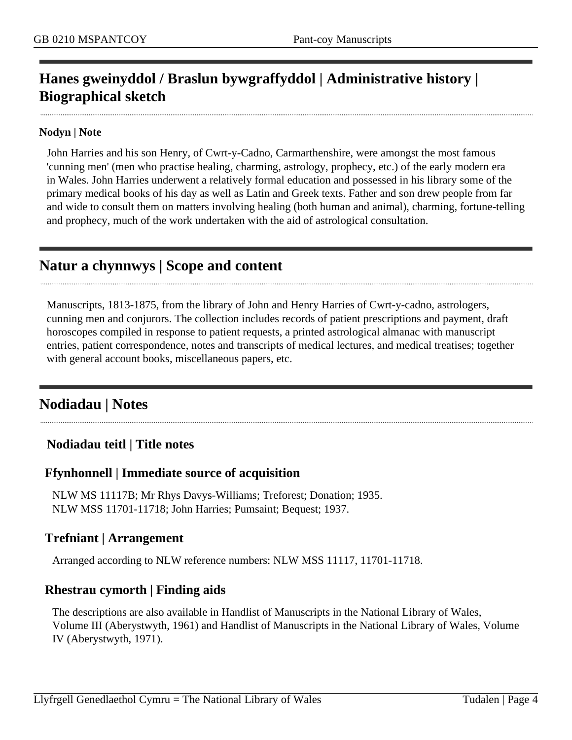## <span id="page-3-0"></span>**Hanes gweinyddol / Braslun bywgraffyddol | Administrative history | Biographical sketch**

#### **Nodyn | Note**

John Harries and his son Henry, of Cwrt-y-Cadno, Carmarthenshire, were amongst the most famous 'cunning men' (men who practise healing, charming, astrology, prophecy, etc.) of the early modern era in Wales. John Harries underwent a relatively formal education and possessed in his library some of the primary medical books of his day as well as Latin and Greek texts. Father and son drew people from far and wide to consult them on matters involving healing (both human and animal), charming, fortune-telling and prophecy, much of the work undertaken with the aid of astrological consultation.

### <span id="page-3-1"></span>**Natur a chynnwys | Scope and content**

Manuscripts, 1813-1875, from the library of John and Henry Harries of Cwrt-y-cadno, astrologers, cunning men and conjurors. The collection includes records of patient prescriptions and payment, draft horoscopes compiled in response to patient requests, a printed astrological almanac with manuscript entries, patient correspondence, notes and transcripts of medical lectures, and medical treatises; together with general account books, miscellaneous papers, etc.

### <span id="page-3-2"></span>**Nodiadau | Notes**

#### **Nodiadau teitl | Title notes**

#### **Ffynhonnell | Immediate source of acquisition**

NLW MS 11117B; Mr Rhys Davys-Williams; Treforest; Donation; 1935. NLW MSS 11701-11718; John Harries; Pumsaint; Bequest; 1937.

#### **Trefniant | Arrangement**

Arranged according to NLW reference numbers: NLW MSS 11117, 11701-11718.

#### **Rhestrau cymorth | Finding aids**

The descriptions are also available in Handlist of Manuscripts in the National Library of Wales, Volume III (Aberystwyth, 1961) and Handlist of Manuscripts in the National Library of Wales, Volume IV (Aberystwyth, 1971).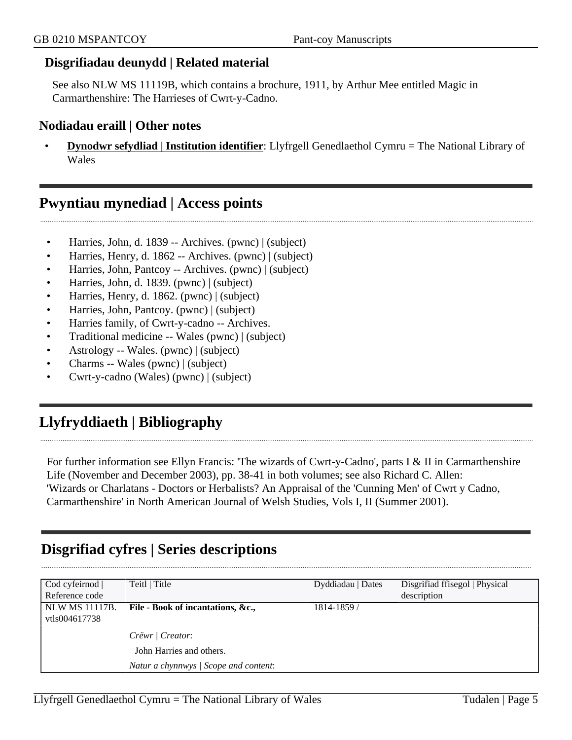#### **Disgrifiadau deunydd | Related material**

See also NLW MS 11119B, which contains a brochure, 1911, by Arthur Mee entitled Magic in Carmarthenshire: The Harrieses of Cwrt-y-Cadno.

#### **Nodiadau eraill | Other notes**

• **Dynodwr sefydliad | Institution identifier**: Llyfrgell Genedlaethol Cymru = The National Library of Wales

### <span id="page-4-0"></span>**Pwyntiau mynediad | Access points**

- Harries, John, d. 1839 -- Archives. (pwnc) | (subject)
- Harries, Henry, d. 1862 -- Archives. (pwnc) | (subject)
- Harries, John, Pantcoy -- Archives. (pwnc) | (subject)
- Harries, John, d. 1839. (pwnc) | (subject)
- Harries, Henry, d. 1862. (pwnc) | (subject)
- Harries, John, Pantcoy. (pwnc) | (subject)
- Harries family, of Cwrt-y-cadno -- Archives.
- Traditional medicine -- Wales (pwnc) | (subject)
- Astrology -- Wales. (pwnc) | (subject)
- Charms -- Wales (pwnc) | (subject)
- Cwrt-y-cadno (Wales) (pwnc) | (subject)

## <span id="page-4-1"></span>**Llyfryddiaeth | Bibliography**

For further information see Ellyn Francis: 'The wizards of Cwrt-y-Cadno', parts I & II in Carmarthenshire Life (November and December 2003), pp. 38-41 in both volumes; see also Richard C. Allen: 'Wizards or Charlatans - Doctors or Herbalists? An Appraisal of the 'Cunning Men' of Cwrt y Cadno, Carmarthenshire' in North American Journal of Welsh Studies, Vols I, II (Summer 2001).

## <span id="page-4-2"></span>**Disgrifiad cyfres | Series descriptions**

| Cod cyfeirnod  <br>Reference code | Teitl   Title                         | Dyddiadau   Dates | Disgrifiad ffisegol   Physical<br>description |
|-----------------------------------|---------------------------------------|-------------------|-----------------------------------------------|
| <b>NLW MS 11117B.</b>             | File - Book of incantations, &c.,     | 1814-1859/        |                                               |
| vtls004617738                     |                                       |                   |                                               |
|                                   | Crëwr   Creator:                      |                   |                                               |
|                                   | John Harries and others.              |                   |                                               |
|                                   | Natur a chynnwys / Scope and content: |                   |                                               |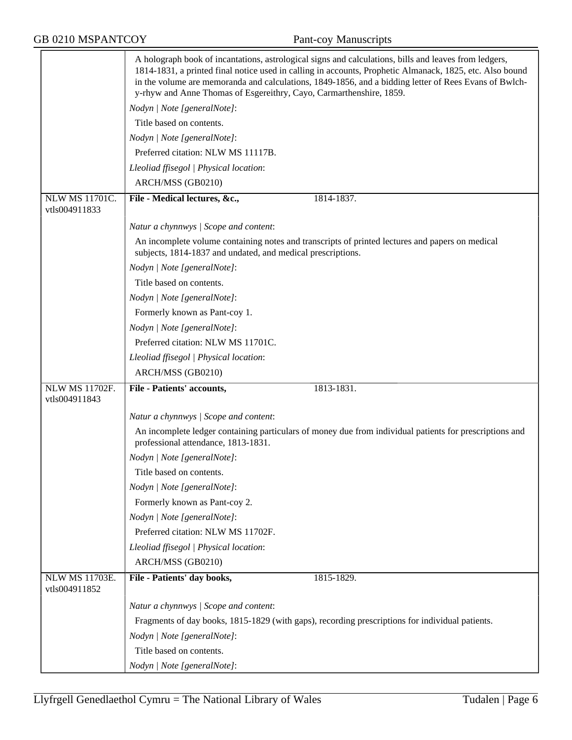|                                        | A holograph book of incantations, astrological signs and calculations, bills and leaves from ledgers,                                                          |
|----------------------------------------|----------------------------------------------------------------------------------------------------------------------------------------------------------------|
|                                        | 1814-1831, a printed final notice used in calling in accounts, Prophetic Almanack, 1825, etc. Also bound                                                       |
|                                        | in the volume are memoranda and calculations, 1849-1856, and a bidding letter of Rees Evans of Bwlch-                                                          |
|                                        | y-rhyw and Anne Thomas of Esgereithry, Cayo, Carmarthenshire, 1859.                                                                                            |
|                                        | Nodyn   Note [generalNote]:                                                                                                                                    |
|                                        | Title based on contents.                                                                                                                                       |
|                                        | Nodyn   Note [generalNote]:                                                                                                                                    |
|                                        | Preferred citation: NLW MS 11117B.                                                                                                                             |
|                                        | Lleoliad ffisegol   Physical location:                                                                                                                         |
|                                        | ARCH/MSS (GB0210)                                                                                                                                              |
| <b>NLW MS 11701C.</b><br>vtls004911833 | File - Medical lectures, &c.,<br>1814-1837.                                                                                                                    |
|                                        |                                                                                                                                                                |
|                                        | Natur a chynnwys / Scope and content:                                                                                                                          |
|                                        | An incomplete volume containing notes and transcripts of printed lectures and papers on medical<br>subjects, 1814-1837 and undated, and medical prescriptions. |
|                                        | Nodyn   Note [generalNote]:                                                                                                                                    |
|                                        | Title based on contents.                                                                                                                                       |
|                                        | Nodyn   Note [generalNote]:                                                                                                                                    |
|                                        | Formerly known as Pant-coy 1.                                                                                                                                  |
|                                        | Nodyn   Note [generalNote]:                                                                                                                                    |
|                                        | Preferred citation: NLW MS 11701C.                                                                                                                             |
|                                        | Lleoliad ffisegol   Physical location:                                                                                                                         |
|                                        | ARCH/MSS (GB0210)                                                                                                                                              |
| <b>NLW MS 11702F.</b><br>vtls004911843 | File - Patients' accounts,<br>1813-1831.                                                                                                                       |
|                                        | Natur a chynnwys / Scope and content:                                                                                                                          |
|                                        | An incomplete ledger containing particulars of money due from individual patients for prescriptions and                                                        |
|                                        | professional attendance, 1813-1831.                                                                                                                            |
|                                        | Nodyn   Note [generalNote]:                                                                                                                                    |
|                                        | Title based on contents.                                                                                                                                       |
|                                        | Nodyn   Note [generalNote]:                                                                                                                                    |
|                                        | Formerly known as Pant-coy 2.                                                                                                                                  |
|                                        | Nodyn   Note [generalNote]:                                                                                                                                    |
|                                        | Preferred citation: NLW MS 11702F.                                                                                                                             |
|                                        | Lleoliad ffisegol   Physical location:                                                                                                                         |
|                                        | ARCH/MSS (GB0210)                                                                                                                                              |
| NLW MS 11703E.<br>vtls004911852        | File - Patients' day books,<br>1815-1829.                                                                                                                      |
|                                        | Natur a chynnwys / Scope and content:                                                                                                                          |
|                                        | Fragments of day books, 1815-1829 (with gaps), recording prescriptions for individual patients.                                                                |
|                                        | Nodyn   Note [generalNote]:                                                                                                                                    |
|                                        | Title based on contents.                                                                                                                                       |
|                                        |                                                                                                                                                                |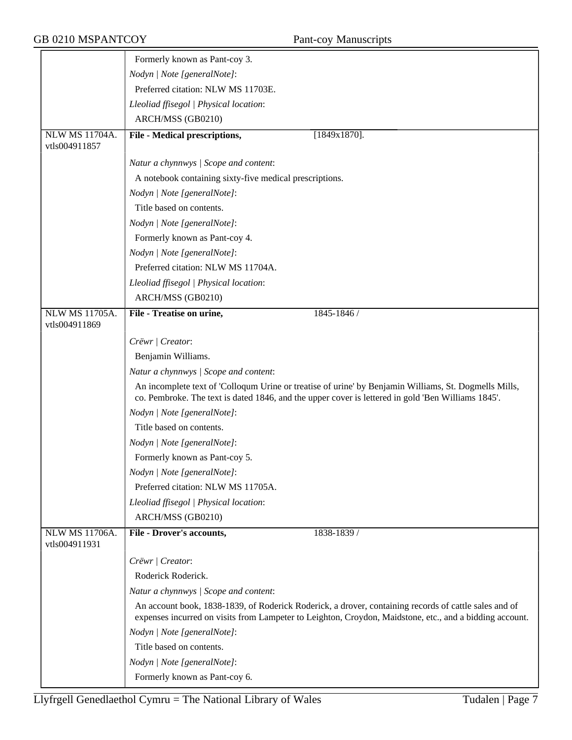|                                        | Formerly known as Pant-coy 3.                                                                                                                                                                                    |
|----------------------------------------|------------------------------------------------------------------------------------------------------------------------------------------------------------------------------------------------------------------|
|                                        | Nodyn   Note [generalNote]:                                                                                                                                                                                      |
|                                        | Preferred citation: NLW MS 11703E.                                                                                                                                                                               |
|                                        | Lleoliad ffisegol   Physical location:                                                                                                                                                                           |
|                                        | ARCH/MSS (GB0210)                                                                                                                                                                                                |
| <b>NLW MS 11704A.</b>                  | File - Medical prescriptions,<br>$[1849x1870]$ .                                                                                                                                                                 |
| vtls004911857                          |                                                                                                                                                                                                                  |
|                                        | Natur a chynnwys / Scope and content:                                                                                                                                                                            |
|                                        | A notebook containing sixty-five medical prescriptions.                                                                                                                                                          |
|                                        | Nodyn   Note [generalNote]:                                                                                                                                                                                      |
|                                        | Title based on contents.                                                                                                                                                                                         |
|                                        | Nodyn   Note [generalNote]:                                                                                                                                                                                      |
|                                        | Formerly known as Pant-coy 4.                                                                                                                                                                                    |
|                                        | Nodyn   Note [generalNote]:                                                                                                                                                                                      |
|                                        | Preferred citation: NLW MS 11704A.                                                                                                                                                                               |
|                                        | Lleoliad ffisegol   Physical location:                                                                                                                                                                           |
|                                        | ARCH/MSS (GB0210)                                                                                                                                                                                                |
| <b>NLW MS 11705A.</b><br>vtls004911869 | 1845-1846 /<br>File - Treatise on urine,                                                                                                                                                                         |
|                                        | Crëwr   Creator:                                                                                                                                                                                                 |
|                                        | Benjamin Williams.                                                                                                                                                                                               |
|                                        | Natur a chynnwys / Scope and content:                                                                                                                                                                            |
|                                        | An incomplete text of 'Colloqum Urine or treatise of urine' by Benjamin Williams, St. Dogmells Mills,<br>co. Pembroke. The text is dated 1846, and the upper cover is lettered in gold 'Ben Williams 1845'.      |
|                                        | Nodyn   Note [generalNote]:                                                                                                                                                                                      |
|                                        | Title based on contents.                                                                                                                                                                                         |
|                                        | Nodyn   Note [generalNote]:                                                                                                                                                                                      |
|                                        | Formerly known as Pant-coy 5.                                                                                                                                                                                    |
|                                        | Nodyn   Note [generalNote]:                                                                                                                                                                                      |
|                                        | Preferred citation: NLW MS 11705A.                                                                                                                                                                               |
|                                        | Lleoliad ffisegol   Physical location:                                                                                                                                                                           |
|                                        | ARCH/MSS (GB0210)                                                                                                                                                                                                |
| NLW MS 11706A.                         | <b>File - Drover's accounts,</b><br>1838-1839 /                                                                                                                                                                  |
| vtls004911931                          |                                                                                                                                                                                                                  |
|                                        | Crëwr   Creator:                                                                                                                                                                                                 |
|                                        | Roderick Roderick.                                                                                                                                                                                               |
|                                        | Natur a chynnwys / Scope and content:                                                                                                                                                                            |
|                                        | An account book, 1838-1839, of Roderick Roderick, a drover, containing records of cattle sales and of<br>expenses incurred on visits from Lampeter to Leighton, Croydon, Maidstone, etc., and a bidding account. |
|                                        | Nodyn   Note [generalNote]:                                                                                                                                                                                      |
|                                        | Title based on contents.                                                                                                                                                                                         |
|                                        | Nodyn   Note [generalNote]:                                                                                                                                                                                      |
|                                        | Formerly known as Pant-coy 6.                                                                                                                                                                                    |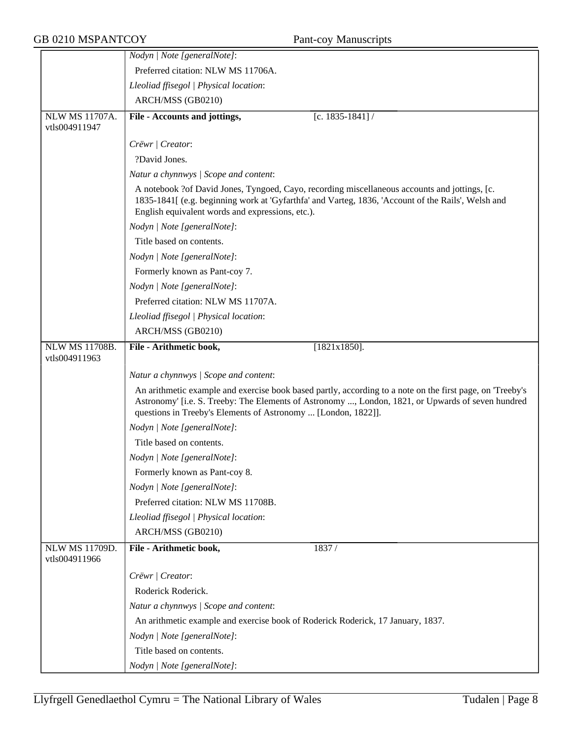|                                        | Nodyn   Note [generalNote]:                                                                                                                                                                                                                                                     |
|----------------------------------------|---------------------------------------------------------------------------------------------------------------------------------------------------------------------------------------------------------------------------------------------------------------------------------|
|                                        | Preferred citation: NLW MS 11706A.                                                                                                                                                                                                                                              |
|                                        | Lleoliad ffisegol   Physical location:                                                                                                                                                                                                                                          |
|                                        | ARCH/MSS (GB0210)                                                                                                                                                                                                                                                               |
| <b>NLW MS 11707A.</b><br>vtls004911947 | File - Accounts and jottings,<br>[c. 1835-1841] /                                                                                                                                                                                                                               |
|                                        | Crëwr   Creator:                                                                                                                                                                                                                                                                |
|                                        | ?David Jones.                                                                                                                                                                                                                                                                   |
|                                        | Natur a chynnwys / Scope and content:                                                                                                                                                                                                                                           |
|                                        | A notebook ?of David Jones, Tyngoed, Cayo, recording miscellaneous accounts and jottings, [c.<br>1835-1841[ (e.g. beginning work at 'Gyfarthfa' and Varteg, 1836, 'Account of the Rails', Welsh and<br>English equivalent words and expressions, etc.).                         |
|                                        | Nodyn   Note [generalNote]:                                                                                                                                                                                                                                                     |
|                                        | Title based on contents.                                                                                                                                                                                                                                                        |
|                                        | Nodyn   Note [generalNote]:                                                                                                                                                                                                                                                     |
|                                        | Formerly known as Pant-coy 7.                                                                                                                                                                                                                                                   |
|                                        | Nodyn   Note [generalNote]:                                                                                                                                                                                                                                                     |
|                                        | Preferred citation: NLW MS 11707A.                                                                                                                                                                                                                                              |
|                                        | Lleoliad ffisegol   Physical location:                                                                                                                                                                                                                                          |
|                                        | ARCH/MSS (GB0210)                                                                                                                                                                                                                                                               |
| NLW MS 11708B.<br>vtls004911963        | File - Arithmetic book,<br>$[1821x1850]$ .                                                                                                                                                                                                                                      |
|                                        | Natur a chynnwys / Scope and content:                                                                                                                                                                                                                                           |
|                                        | An arithmetic example and exercise book based partly, according to a note on the first page, on 'Treeby's<br>Astronomy' [i.e. S. Treeby: The Elements of Astronomy , London, 1821, or Upwards of seven hundred<br>questions in Treeby's Elements of Astronomy  [London, 1822]]. |
|                                        | Nodyn   Note [generalNote]:                                                                                                                                                                                                                                                     |
|                                        | Title based on contents.                                                                                                                                                                                                                                                        |
|                                        | Nodyn   Note [generalNote]:                                                                                                                                                                                                                                                     |
|                                        | Formerly known as Pant-coy 8.                                                                                                                                                                                                                                                   |
|                                        | Nodyn   Note [generalNote]:                                                                                                                                                                                                                                                     |
|                                        | Preferred citation: NLW MS 11708B.                                                                                                                                                                                                                                              |
|                                        | Lleoliad ffisegol   Physical location:                                                                                                                                                                                                                                          |
|                                        | ARCH/MSS (GB0210)                                                                                                                                                                                                                                                               |
| <b>NLW MS 11709D.</b><br>vtls004911966 | File - Arithmetic book,<br>1837/                                                                                                                                                                                                                                                |
|                                        | Crëwr   Creator:                                                                                                                                                                                                                                                                |
|                                        | Roderick Roderick.                                                                                                                                                                                                                                                              |
|                                        | Natur a chynnwys / Scope and content:                                                                                                                                                                                                                                           |
|                                        | An arithmetic example and exercise book of Roderick Roderick, 17 January, 1837.                                                                                                                                                                                                 |
|                                        | Nodyn   Note [generalNote]:                                                                                                                                                                                                                                                     |
|                                        | Title based on contents.                                                                                                                                                                                                                                                        |
|                                        | Nodyn   Note [generalNote]:                                                                                                                                                                                                                                                     |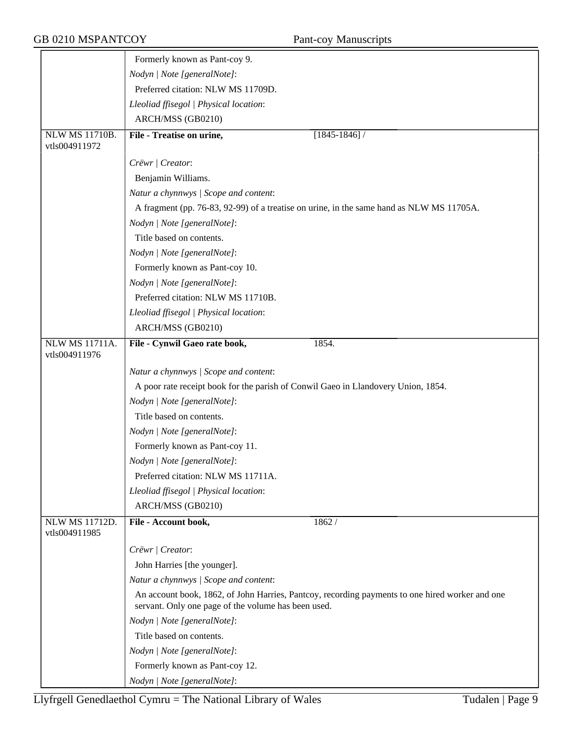|                                        | Formerly known as Pant-coy 9.                                                                                                                          |
|----------------------------------------|--------------------------------------------------------------------------------------------------------------------------------------------------------|
|                                        | Nodyn   Note [generalNote]:                                                                                                                            |
|                                        | Preferred citation: NLW MS 11709D.                                                                                                                     |
|                                        | Lleoliad ffisegol   Physical location:                                                                                                                 |
|                                        | ARCH/MSS (GB0210)                                                                                                                                      |
| <b>NLW MS 11710B.</b>                  | File - Treatise on urine,<br>$[1845 - 1846]$                                                                                                           |
| vtls004911972                          |                                                                                                                                                        |
|                                        | Crëwr   Creator:                                                                                                                                       |
|                                        | Benjamin Williams.                                                                                                                                     |
|                                        | Natur a chynnwys / Scope and content:                                                                                                                  |
|                                        | A fragment (pp. 76-83, 92-99) of a treatise on urine, in the same hand as NLW MS 11705A.                                                               |
|                                        | Nodyn   Note [generalNote]:                                                                                                                            |
|                                        | Title based on contents.                                                                                                                               |
|                                        | Nodyn   Note [generalNote]:                                                                                                                            |
|                                        | Formerly known as Pant-coy 10.                                                                                                                         |
|                                        | Nodyn   Note [generalNote]:                                                                                                                            |
|                                        | Preferred citation: NLW MS 11710B.                                                                                                                     |
|                                        | Lleoliad ffisegol   Physical location:                                                                                                                 |
|                                        | ARCH/MSS (GB0210)                                                                                                                                      |
| <b>NLW MS 11711A.</b><br>vtls004911976 | File - Cynwil Gaeo rate book,<br>1854.                                                                                                                 |
|                                        |                                                                                                                                                        |
|                                        | Natur a chynnwys / Scope and content:                                                                                                                  |
|                                        | A poor rate receipt book for the parish of Conwil Gaeo in Llandovery Union, 1854.                                                                      |
|                                        | Nodyn   Note [generalNote]:                                                                                                                            |
|                                        | Title based on contents.                                                                                                                               |
|                                        | Nodyn   Note [generalNote]:                                                                                                                            |
|                                        | Formerly known as Pant-coy 11.                                                                                                                         |
|                                        | Nodyn   Note [generalNote]:                                                                                                                            |
|                                        | Preferred citation: NLW MS 11711A.<br>Lleoliad ffisegol   Physical location:                                                                           |
|                                        | ARCH/MSS (GB0210)                                                                                                                                      |
| <b>NLW MS 11712D.</b>                  | File - Account book,<br>1862/                                                                                                                          |
| vtls004911985                          |                                                                                                                                                        |
|                                        | Crëwr   Creator:                                                                                                                                       |
|                                        | John Harries [the younger].                                                                                                                            |
|                                        | Natur a chynnwys / Scope and content:                                                                                                                  |
|                                        | An account book, 1862, of John Harries, Pantcoy, recording payments to one hired worker and one<br>servant. Only one page of the volume has been used. |
|                                        | Nodyn   Note [generalNote]:                                                                                                                            |
|                                        | Title based on contents.                                                                                                                               |
|                                        | Nodyn   Note [generalNote]:                                                                                                                            |
|                                        | Formerly known as Pant-coy 12.                                                                                                                         |
|                                        | Nodyn   Note [generalNote]:                                                                                                                            |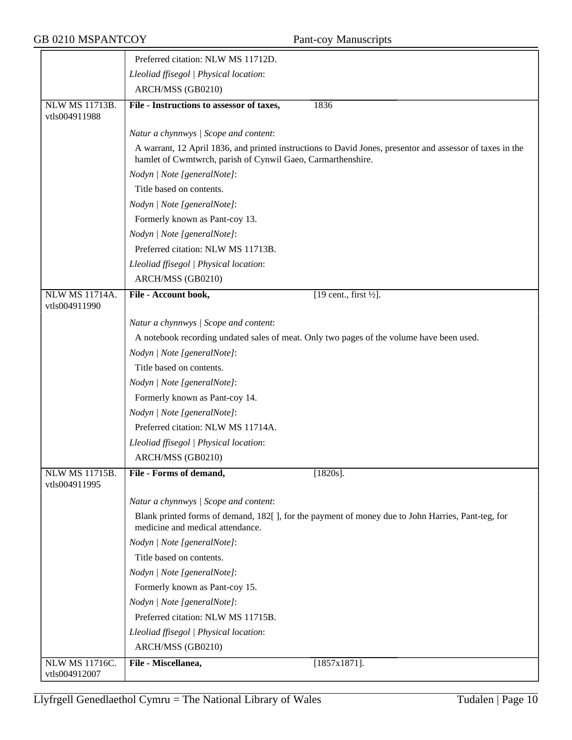|                                        | Preferred citation: NLW MS 11712D.                                                                                                                                       |
|----------------------------------------|--------------------------------------------------------------------------------------------------------------------------------------------------------------------------|
|                                        | Lleoliad ffisegol   Physical location:                                                                                                                                   |
|                                        | ARCH/MSS (GB0210)                                                                                                                                                        |
| <b>NLW MS 11713B.</b><br>vtls004911988 | File - Instructions to assessor of taxes,<br>1836                                                                                                                        |
|                                        | Natur a chynnwys / Scope and content:                                                                                                                                    |
|                                        | A warrant, 12 April 1836, and printed instructions to David Jones, presentor and assessor of taxes in the<br>hamlet of Cwmtwrch, parish of Cynwil Gaeo, Carmarthenshire. |
|                                        | Nodyn   Note [generalNote]:                                                                                                                                              |
|                                        | Title based on contents.                                                                                                                                                 |
|                                        | Nodyn   Note [generalNote]:                                                                                                                                              |
|                                        | Formerly known as Pant-coy 13.                                                                                                                                           |
|                                        | Nodyn   Note [generalNote]:                                                                                                                                              |
|                                        | Preferred citation: NLW MS 11713B.                                                                                                                                       |
|                                        | Lleoliad ffisegol   Physical location:                                                                                                                                   |
|                                        | ARCH/MSS (GB0210)                                                                                                                                                        |
| <b>NLW MS 11714A.</b><br>vtls004911990 | File - Account book,<br>$[19$ cent., first $\frac{1}{2}$ .                                                                                                               |
|                                        | Natur a chynnwys / Scope and content:                                                                                                                                    |
|                                        | A notebook recording undated sales of meat. Only two pages of the volume have been used.                                                                                 |
|                                        | Nodyn   Note [generalNote]:                                                                                                                                              |
|                                        | Title based on contents.                                                                                                                                                 |
|                                        | Nodyn   Note [generalNote]:                                                                                                                                              |
|                                        | Formerly known as Pant-coy 14.                                                                                                                                           |
|                                        | Nodyn   Note [generalNote]:                                                                                                                                              |
|                                        | Preferred citation: NLW MS 11714A.                                                                                                                                       |
|                                        | Lleoliad ffisegol   Physical location:                                                                                                                                   |
|                                        | ARCH/MSS (GB0210)                                                                                                                                                        |
| NLW MS 11715B.<br>vtls004911995        | File - Forms of demand,<br>$[1820s]$ .                                                                                                                                   |
|                                        | Natur a chynnwys / Scope and content:                                                                                                                                    |
|                                        | Blank printed forms of demand, 182[], for the payment of money due to John Harries, Pant-teg, for<br>medicine and medical attendance.                                    |
|                                        | Nodyn   Note [generalNote]:                                                                                                                                              |
|                                        | Title based on contents.                                                                                                                                                 |
|                                        | Nodyn   Note [generalNote]:                                                                                                                                              |
|                                        | Formerly known as Pant-coy 15.                                                                                                                                           |
|                                        | Nodyn   Note [generalNote]:                                                                                                                                              |
|                                        | Preferred citation: NLW MS 11715B.                                                                                                                                       |
|                                        | Lleoliad ffisegol   Physical location:                                                                                                                                   |
|                                        | ARCH/MSS (GB0210)                                                                                                                                                        |
| <b>NLW MS 11716C.</b><br>vtls004912007 | $[1857x1871]$ .<br>File - Miscellanea,                                                                                                                                   |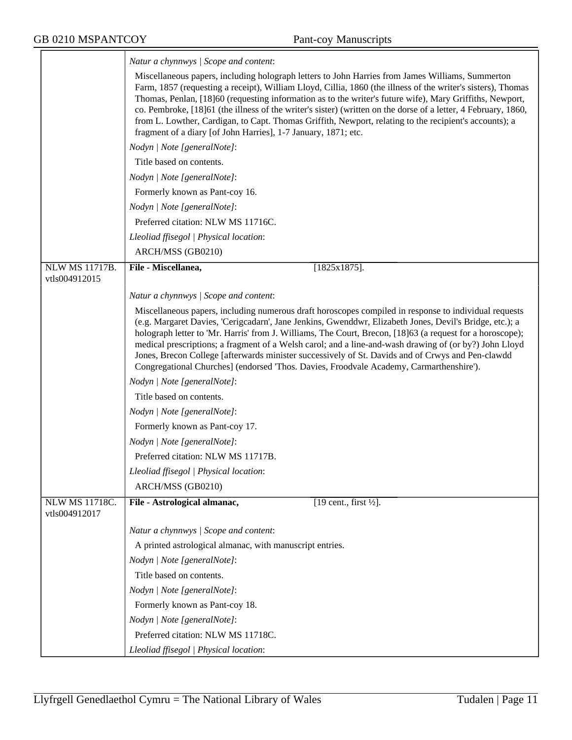|                                 | Natur a chynnwys / Scope and content:                                                                                                                                                                                                                                                                                                                                                                                                                                                                                                                                                                                                   |
|---------------------------------|-----------------------------------------------------------------------------------------------------------------------------------------------------------------------------------------------------------------------------------------------------------------------------------------------------------------------------------------------------------------------------------------------------------------------------------------------------------------------------------------------------------------------------------------------------------------------------------------------------------------------------------------|
|                                 | Miscellaneous papers, including holograph letters to John Harries from James Williams, Summerton<br>Farm, 1857 (requesting a receipt), William Lloyd, Cillia, 1860 (the illness of the writer's sisters), Thomas<br>Thomas, Penlan, [18]60 (requesting information as to the writer's future wife), Mary Griffiths, Newport,<br>co. Pembroke, [18]61 (the illness of the writer's sister) (written on the dorse of a letter, 4 February, 1860,<br>from L. Lowther, Cardigan, to Capt. Thomas Griffith, Newport, relating to the recipient's accounts); a<br>fragment of a diary [of John Harries], 1-7 January, 1871; etc.              |
|                                 | Nodyn   Note [generalNote]:                                                                                                                                                                                                                                                                                                                                                                                                                                                                                                                                                                                                             |
|                                 | Title based on contents.                                                                                                                                                                                                                                                                                                                                                                                                                                                                                                                                                                                                                |
|                                 | Nodyn   Note [generalNote]:                                                                                                                                                                                                                                                                                                                                                                                                                                                                                                                                                                                                             |
|                                 | Formerly known as Pant-coy 16.                                                                                                                                                                                                                                                                                                                                                                                                                                                                                                                                                                                                          |
|                                 | Nodyn   Note [generalNote]:                                                                                                                                                                                                                                                                                                                                                                                                                                                                                                                                                                                                             |
|                                 | Preferred citation: NLW MS 11716C.                                                                                                                                                                                                                                                                                                                                                                                                                                                                                                                                                                                                      |
|                                 | Lleoliad ffisegol   Physical location:                                                                                                                                                                                                                                                                                                                                                                                                                                                                                                                                                                                                  |
|                                 | ARCH/MSS (GB0210)                                                                                                                                                                                                                                                                                                                                                                                                                                                                                                                                                                                                                       |
| NLW MS 11717B.<br>vtls004912015 | File - Miscellanea,<br>$[1825x1875]$ .                                                                                                                                                                                                                                                                                                                                                                                                                                                                                                                                                                                                  |
|                                 | Natur a chynnwys / Scope and content:                                                                                                                                                                                                                                                                                                                                                                                                                                                                                                                                                                                                   |
|                                 | Miscellaneous papers, including numerous draft horoscopes compiled in response to individual requests<br>(e.g. Margaret Davies, 'Cerigcadarn', Jane Jenkins, Gwenddwr, Elizabeth Jones, Devil's Bridge, etc.); a<br>holograph letter to 'Mr. Harris' from J. Williams, The Court, Brecon, [18]63 (a request for a horoscope);<br>medical prescriptions; a fragment of a Welsh carol; and a line-and-wash drawing of (or by?) John Lloyd<br>Jones, Brecon College [afterwards minister successively of St. Davids and of Crwys and Pen-clawdd<br>Congregational Churches] (endorsed 'Thos. Davies, Froodvale Academy, Carmarthenshire'). |
|                                 | Nodyn   Note [generalNote]:                                                                                                                                                                                                                                                                                                                                                                                                                                                                                                                                                                                                             |
|                                 | Title based on contents.                                                                                                                                                                                                                                                                                                                                                                                                                                                                                                                                                                                                                |
|                                 | Nodyn   Note [generalNote]:                                                                                                                                                                                                                                                                                                                                                                                                                                                                                                                                                                                                             |
|                                 | Formerly known as Pant-coy 17.                                                                                                                                                                                                                                                                                                                                                                                                                                                                                                                                                                                                          |
|                                 | Nodyn   Note [generalNote]:                                                                                                                                                                                                                                                                                                                                                                                                                                                                                                                                                                                                             |
|                                 | Preferred citation: NLW MS 11717B.                                                                                                                                                                                                                                                                                                                                                                                                                                                                                                                                                                                                      |
|                                 | Lleoliad ffisegol   Physical location:                                                                                                                                                                                                                                                                                                                                                                                                                                                                                                                                                                                                  |
|                                 | ARCH/MSS (GB0210)                                                                                                                                                                                                                                                                                                                                                                                                                                                                                                                                                                                                                       |
| <b>NLW MS 11718C.</b>           | [19 cent., first $\frac{1}{2}$ ].<br>File - Astrological almanac,                                                                                                                                                                                                                                                                                                                                                                                                                                                                                                                                                                       |
| vtls004912017                   |                                                                                                                                                                                                                                                                                                                                                                                                                                                                                                                                                                                                                                         |
|                                 | Natur a chynnwys / Scope and content:                                                                                                                                                                                                                                                                                                                                                                                                                                                                                                                                                                                                   |
|                                 | A printed astrological almanac, with manuscript entries.                                                                                                                                                                                                                                                                                                                                                                                                                                                                                                                                                                                |
|                                 | Nodyn   Note [generalNote]:                                                                                                                                                                                                                                                                                                                                                                                                                                                                                                                                                                                                             |
|                                 | Title based on contents.                                                                                                                                                                                                                                                                                                                                                                                                                                                                                                                                                                                                                |
|                                 | Nodyn   Note [generalNote]:                                                                                                                                                                                                                                                                                                                                                                                                                                                                                                                                                                                                             |
|                                 | Formerly known as Pant-coy 18.                                                                                                                                                                                                                                                                                                                                                                                                                                                                                                                                                                                                          |
|                                 | Nodyn   Note [generalNote]:                                                                                                                                                                                                                                                                                                                                                                                                                                                                                                                                                                                                             |
|                                 | Preferred citation: NLW MS 11718C.                                                                                                                                                                                                                                                                                                                                                                                                                                                                                                                                                                                                      |
|                                 | Lleoliad ffisegol   Physical location:                                                                                                                                                                                                                                                                                                                                                                                                                                                                                                                                                                                                  |